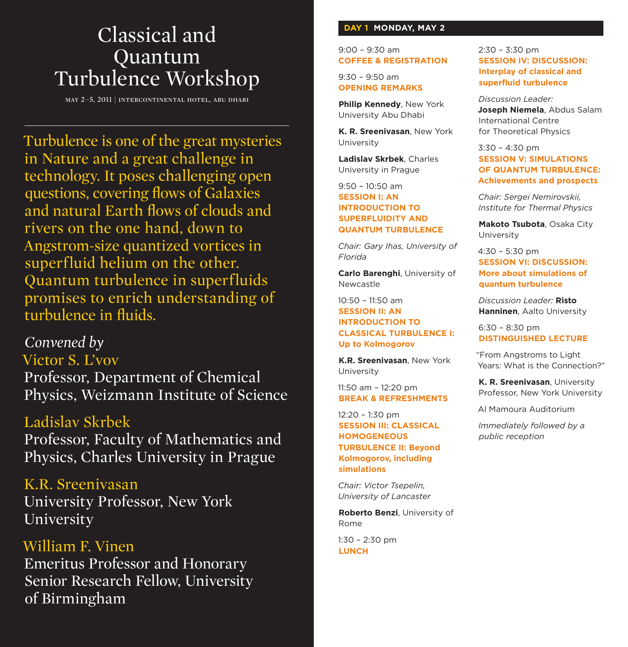# Classical and Quantum Turbulence Workshop

may 2–5, 2011 | intercontinental hotel, abu dhabi

Turbulence is one of the great mysteries in Nature and a great challenge in technology. It poses challenging open questions, covering flows of Galaxies and natural Earth flows of clouds and rivers on the one hand, down to Angstrom-size quantized vortices in superfluid helium on the other. Quantum turbulence in superfluids promises to enrich understanding of turbulence in fluids.

## *Convened by* Victor S. L'vov

Professor, Department of Chemical Physics, Weizmann Institute of Science

### Ladislav Skrbek

Professor, Faculty of Mathematics and Physics, Charles University in Prague

K.R. Sreenivasan University Professor, New York University

William F. Vinen Emeritus Professor and Honorary Senior Research Fellow, University of Birmingham

### **DAY 1 MONDAY, MAY 2**

9:00 – 9:30 am **COFFEE & REGISTRATION**

9:30 – 9:50 am **OPENING REMARKS**

**Philip Kennedy**, New York University Abu Dhabi

**K. R. Sreenivasan**, New York University

**Ladislav Skrbek**, Charles University in Prague

### 9:50 – 10:50 am **SESSION I: AN INTRODUCTION TO SUPERFLUIDITY AND QUANTUM TURBULENCE**

*Chair: Gary Ihas, University of Florida*

**Carlo Barenghi**, University of Newcastle

### $10:50 - 11:50$  am **SESSION II: AN INTRODUCTION TO CLASSICAL TURBULENCE I: Up to Kolmogorov**

**K.R. Sreenivasan**, New York University

11:50 am – 12:20 pm **BREAK & REFRESHMENTS**

12:20 – 1:30 pm **SESSION III: CLASSICAL HOMOGENEOUS TURBULENCE II: Beyond Kolmogorov, including simulations**

*Chair: Victor Tsepelin, University of Lancaster*

**Roberto Benzi**, University of Rome

1:30 – 2:30 pm **LUNCH**

#### 2:30 – 3:30 pm **SESSION IV: DISCUSSION: Interplay of classical and superfluid turbulence**

*Discussion Leader:*  **Joseph Niemela**, Abdus Salam International Centre for Theoretical Physics

3:30 – 4:30 pm **SESSION V: SIMULATIONS OF QUANTUM TURBULENCE: Achievements and prospects**

*Chair: Sergei Nemirovskii, Institute for Thermal Physics*

**Makoto Tsubota**, Osaka City University

4:30 – 5:30 pm **SESSION VI: DISCUSSION: More about simulations of quantum turbulence**

*Discussion Leader:* **Risto Hanninen**, Aalto University

6:30 – 8:30 pm **DISTINGUISHED LECTURE**

"From Angstroms to Light Years: What is the Connection?"

**K. R. Sreenivasan**, University Professor, New York University

Al Mamoura Auditorium

*Immediately followed by a public reception*